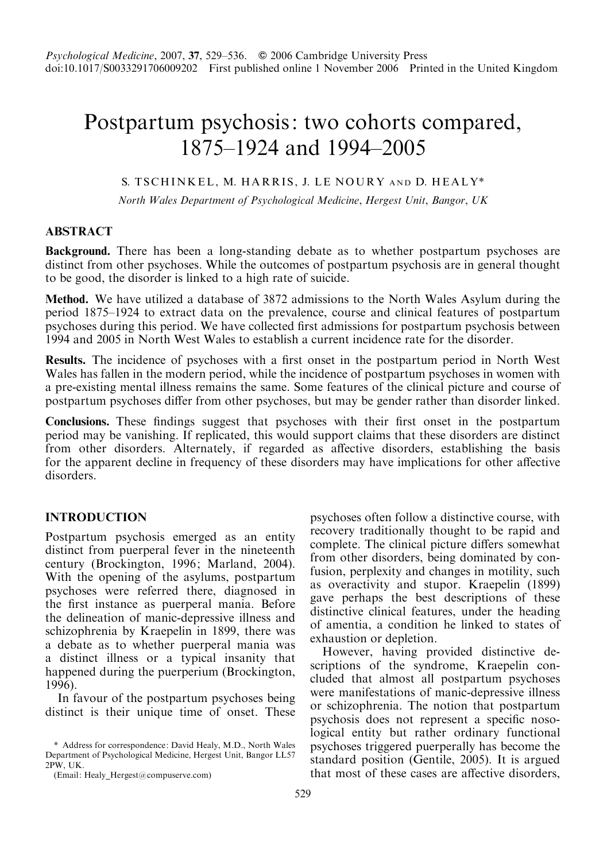# Postpartum psychosis: two cohorts compared, 1875–1924 and 1994–2005

# S. TSCHINKEL, M. HARRIS, J. LE NOURY AND D. HEALY\*

North Wales Department of Psychological Medicine, Hergest Unit, Bangor, UK

# ABSTRACT

Background. There has been a long-standing debate as to whether postpartum psychoses are distinct from other psychoses. While the outcomes of postpartum psychosis are in general thought to be good, the disorder is linked to a high rate of suicide.

Method. We have utilized a database of 3872 admissions to the North Wales Asylum during the period 1875–1924 to extract data on the prevalence, course and clinical features of postpartum psychoses during this period. We have collected first admissions for postpartum psychosis between 1994 and 2005 in North West Wales to establish a current incidence rate for the disorder.

Results. The incidence of psychoses with a first onset in the postpartum period in North West Wales has fallen in the modern period, while the incidence of postpartum psychoses in women with a pre-existing mental illness remains the same. Some features of the clinical picture and course of postpartum psychoses differ from other psychoses, but may be gender rather than disorder linked.

Conclusions. These findings suggest that psychoses with their first onset in the postpartum period may be vanishing. If replicated, this would support claims that these disorders are distinct from other disorders. Alternately, if regarded as affective disorders, establishing the basis for the apparent decline in frequency of these disorders may have implications for other affective disorders<sup>1</sup>

# INTRODUCTION

Postpartum psychosis emerged as an entity distinct from puerperal fever in the nineteenth century (Brockington, 1996; Marland, 2004). With the opening of the asylums, postpartum psychoses were referred there, diagnosed in the first instance as puerperal mania. Before the delineation of manic-depressive illness and schizophrenia by Kraepelin in 1899, there was a debate as to whether puerperal mania was a distinct illness or a typical insanity that happened during the puerperium (Brockington, 1996).

In favour of the postpartum psychoses being distinct is their unique time of onset. These

psychoses often follow a distinctive course, with recovery traditionally thought to be rapid and complete. The clinical picture differs somewhat from other disorders, being dominated by confusion, perplexity and changes in motility, such as overactivity and stupor. Kraepelin (1899) gave perhaps the best descriptions of these distinctive clinical features, under the heading of amentia, a condition he linked to states of exhaustion or depletion.

However, having provided distinctive descriptions of the syndrome, Kraepelin concluded that almost all postpartum psychoses were manifestations of manic-depressive illness or schizophrenia. The notion that postpartum psychosis does not represent a specific nosological entity but rather ordinary functional psychoses triggered puerperally has become the standard position (Gentile, 2005). It is argued that most of these cases are affective disorders,

<sup>\*</sup> Address for correspondence: David Healy, M.D., North Wales Department of Psychological Medicine, Hergest Unit, Bangor LL57 2PW, UK.

<sup>(</sup>Email: Healy Hergest@compuserve.com)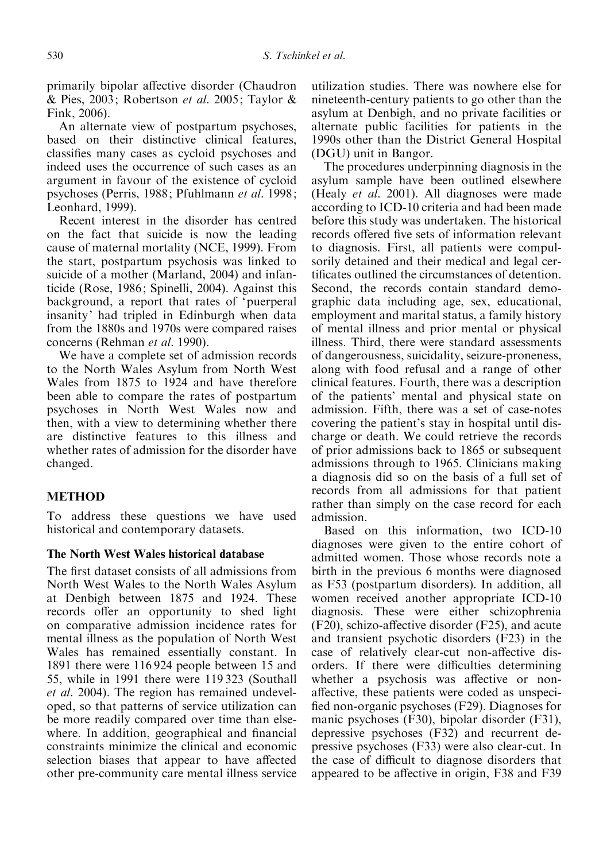primarily bipolar affective disorder (Chaudron & Pies, 2003; Robertson et al. 2005; Taylor & Fink, 2006).

An alternate view of postpartum psychoses, based on their distinctive clinical features, classifies many cases as cycloid psychoses and indeed uses the occurrence of such cases as an argument in favour of the existence of cycloid psychoses (Perris, 1988; Pfuhlmann et al. 1998; Leonhard, 1999).

Recent interest in the disorder has centred on the fact that suicide is now the leading cause of maternal mortality (NCE, 1999). From the start, postpartum psychosis was linked to suicide of a mother (Marland, 2004) and infanticide (Rose, 1986; Spinelli, 2004). Against this background, a report that rates of 'puerperal insanity' had tripled in Edinburgh when data from the 1880s and 1970s were compared raises concerns (Rehman et al. 1990).

We have a complete set of admission records to the North Wales Asylum from North West Wales from 1875 to 1924 and have therefore been able to compare the rates of postpartum psychoses in North West Wales now and then, with a view to determining whether there are distinctive features to this illness and whether rates of admission for the disorder have changed.

# **METHOD**

To address these questions we have used historical and contemporary datasets.

# The North West Wales historical database

The first dataset consists of all admissions from North West Wales to the North Wales Asylum at Denbigh between 1875 and 1924. These records offer an opportunity to shed light on comparative admission incidence rates for mental illness as the population of North West Wales has remained essentially constant. In 1891 there were 116 924 people between 15 and 55, while in 1991 there were 119 323 (Southall et al. 2004). The region has remained undeveloped, so that patterns of service utilization can be more readily compared over time than elsewhere. In addition, geographical and financial constraints minimize the clinical and economic selection biases that appear to have affected other pre-community care mental illness service

utilization studies. There was nowhere else for nineteenth-century patients to go other than the asylum at Denbigh, and no private facilities or alternate public facilities for patients in the 1990s other than the District General Hospital (DGU) unit in Bangor.

The procedures underpinning diagnosis in the asylum sample have been outlined elsewhere (Healy *et al.* 2001). All diagnoses were made according to ICD-10 criteria and had been made before this study was undertaken. The historical records offered five sets of information relevant to diagnosis. First, all patients were compulsorily detained and their medical and legal certificates outlined the circumstances of detention. Second, the records contain standard demographic data including age, sex, educational, employment and marital status, a family history of mental illness and prior mental or physical illness. Third, there were standard assessments of dangerousness, suicidality, seizure-proneness, along with food refusal and a range of other clinical features. Fourth, there was a description of the patients' mental and physical state on admission. Fifth, there was a set of case-notes covering the patient's stay in hospital until discharge or death. We could retrieve the records of prior admissions back to 1865 or subsequent admissions through to 1965. Clinicians making a diagnosis did so on the basis of a full set of records from all admissions for that patient rather than simply on the case record for each admission.

Based on this information, two ICD-10 diagnoses were given to the entire cohort of admitted women. Those whose records note a birth in the previous 6 months were diagnosed as F53 (postpartum disorders). In addition, all women received another appropriate ICD-10 diagnosis. These were either schizophrenia (F20), schizo-affective disorder (F25), and acute and transient psychotic disorders (F23) in the case of relatively clear-cut non-affective disorders. If there were difficulties determining whether a psychosis was affective or nonaffective, these patients were coded as unspecified non-organic psychoses (F29). Diagnoses for manic psychoses (F30), bipolar disorder (F31), depressive psychoses (F32) and recurrent depressive psychoses (F33) were also clear-cut. In the case of difficult to diagnose disorders that appeared to be affective in origin, F38 and F39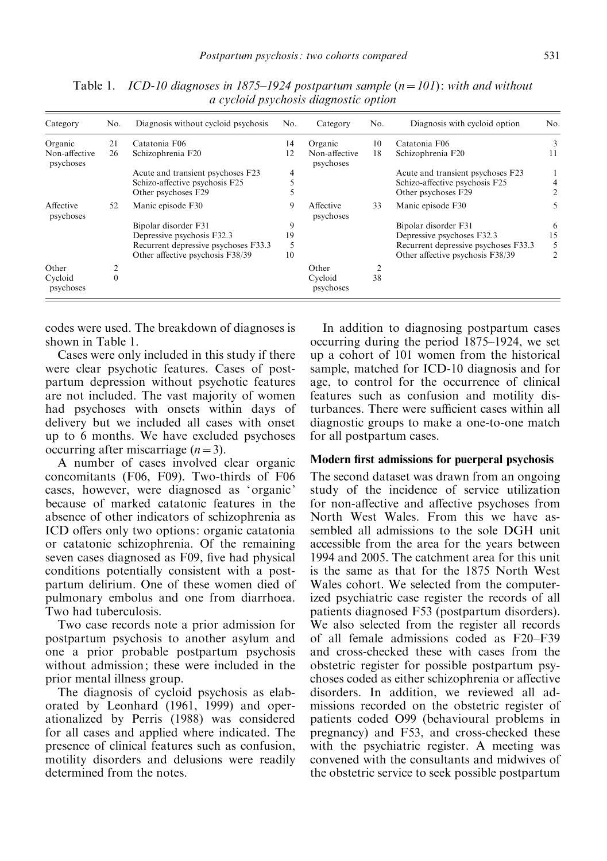| Category                   | No.      | Diagnosis without cycloid psychosis  | No. | Category                   | No. | Diagnosis with cycloid option        | No. |
|----------------------------|----------|--------------------------------------|-----|----------------------------|-----|--------------------------------------|-----|
| Organic                    | 21       | Catatonia F06                        | 14  | Organic                    | 10  | Catatonia F06                        | 3   |
| Non-affective<br>psychoses | 26       | Schizophrenia F20                    | 12  | Non-affective<br>psychoses | 18  | Schizophrenia F20                    | 11  |
|                            |          | Acute and transient psychoses F23    | 4   |                            |     | Acute and transient psychoses F23    |     |
|                            |          | Schizo-affective psychosis F25       |     |                            |     | Schizo-affective psychosis F25       |     |
|                            |          | Other psychoses F29                  |     |                            |     | Other psychoses F29                  |     |
| Affective<br>psychoses     | 52       | Manic episode F30                    | 9   | Affective<br>psychoses     | 33  | Manic episode F30                    | 5   |
|                            |          | Bipolar disorder F31                 | 9   |                            |     | Bipolar disorder F31                 | 6   |
|                            |          | Depressive psychosis F32.3           | 19  |                            |     | Depressive psychoses F32.3           | 15  |
|                            |          | Recurrent depressive psychoses F33.3 | 5   |                            |     | Recurrent depressive psychoses F33.3 | 5   |
|                            |          | Other affective psychosis F38/39     | 10  |                            |     | Other affective psychosis F38/39     | 2   |
| Other                      |          |                                      |     | Other                      | 2   |                                      |     |
| Cycloid<br>psychoses       | $\theta$ |                                      |     | Cycloid<br>psychoses       | 38  |                                      |     |

Table 1. ICD-10 diagnoses in 1875–1924 postpartum sample  $(n=101)$ : with and without a cycloid psychosis diagnostic option

codes were used. The breakdown of diagnoses is shown in Table 1.

Cases were only included in this study if there were clear psychotic features. Cases of postpartum depression without psychotic features are not included. The vast majority of women had psychoses with onsets within days of delivery but we included all cases with onset up to 6 months. We have excluded psychoses occurring after miscarriage  $(n=3)$ .

A number of cases involved clear organic concomitants (F06, F09). Two-thirds of F06 cases, however, were diagnosed as 'organic' because of marked catatonic features in the absence of other indicators of schizophrenia as ICD offers only two options: organic catatonia or catatonic schizophrenia. Of the remaining seven cases diagnosed as F09, five had physical conditions potentially consistent with a postpartum delirium. One of these women died of pulmonary embolus and one from diarrhoea. Two had tuberculosis.

Two case records note a prior admission for postpartum psychosis to another asylum and one a prior probable postpartum psychosis without admission; these were included in the prior mental illness group.

The diagnosis of cycloid psychosis as elaborated by Leonhard (1961, 1999) and operationalized by Perris (1988) was considered for all cases and applied where indicated. The presence of clinical features such as confusion, motility disorders and delusions were readily determined from the notes.

In addition to diagnosing postpartum cases occurring during the period 1875–1924, we set up a cohort of 101 women from the historical sample, matched for ICD-10 diagnosis and for age, to control for the occurrence of clinical features such as confusion and motility disturbances. There were sufficient cases within all diagnostic groups to make a one-to-one match for all postpartum cases.

#### Modern first admissions for puerperal psychosis

The second dataset was drawn from an ongoing study of the incidence of service utilization for non-affective and affective psychoses from North West Wales. From this we have assembled all admissions to the sole DGH unit accessible from the area for the years between 1994 and 2005. The catchment area for this unit is the same as that for the 1875 North West Wales cohort. We selected from the computerized psychiatric case register the records of all patients diagnosed F53 (postpartum disorders). We also selected from the register all records of all female admissions coded as F20–F39 and cross-checked these with cases from the obstetric register for possible postpartum psychoses coded as either schizophrenia or affective disorders. In addition, we reviewed all admissions recorded on the obstetric register of patients coded O99 (behavioural problems in pregnancy) and F53, and cross-checked these with the psychiatric register. A meeting was convened with the consultants and midwives of the obstetric service to seek possible postpartum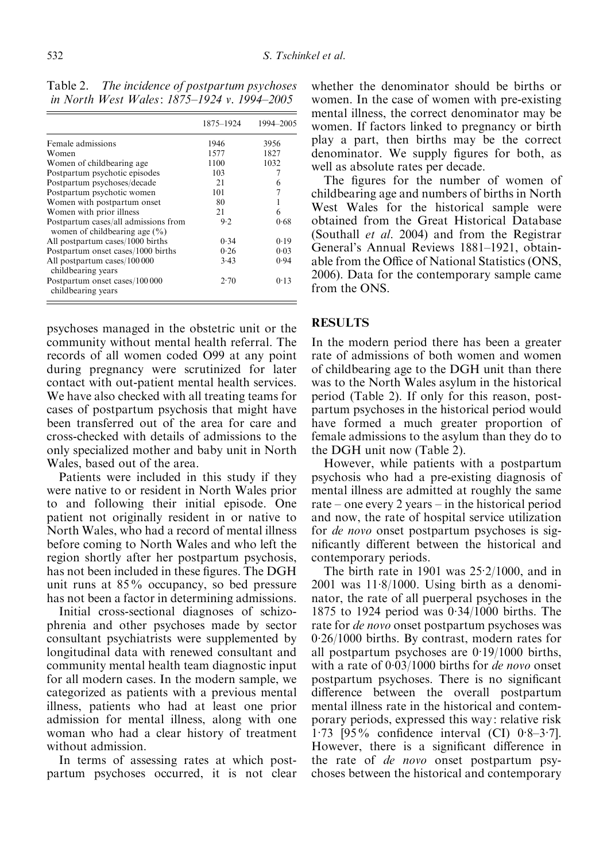Table 2. The incidence of postpartum psychoses in North West Wales: 1875–1924 v. 1994–2005

|                                                                            | 1875-1924 | 1994-2005 |
|----------------------------------------------------------------------------|-----------|-----------|
| Female admissions                                                          | 1946      | 3956      |
| Women                                                                      | 1577      | 1827      |
| Women of childbearing age.                                                 | 1100      | 1032      |
| Postpartum psychotic episodes                                              | 103       |           |
| Postpartum psychoses/decade                                                | 21        | 6         |
| Postpartum psychotic women                                                 | 101       |           |
| Women with postpartum onset                                                | 80        |           |
| Women with prior illness                                                   | 21        | 6         |
| Postpartum cases/all admissions from<br>women of child bearing age $(\% )$ | 9.2       | 0.68      |
| All postpartum cases/1000 births                                           | 0.34      | 0.19      |
| Postpartum onset cases/1000 births                                         | 0.26      | 0.03      |
| All postpartum cases/100 000<br>childbearing years                         | 3.43      | 0.94      |
| Postpartum onset cases/100 000<br>childbearing years                       | 2.70      | 0.13      |

psychoses managed in the obstetric unit or the community without mental health referral. The records of all women coded O99 at any point during pregnancy were scrutinized for later contact with out-patient mental health services. We have also checked with all treating teams for cases of postpartum psychosis that might have been transferred out of the area for care and cross-checked with details of admissions to the only specialized mother and baby unit in North Wales, based out of the area.

Patients were included in this study if they were native to or resident in North Wales prior to and following their initial episode. One patient not originally resident in or native to North Wales, who had a record of mental illness before coming to North Wales and who left the region shortly after her postpartum psychosis, has not been included in these figures. The DGH unit runs at 85% occupancy, so bed pressure has not been a factor in determining admissions.

Initial cross-sectional diagnoses of schizophrenia and other psychoses made by sector consultant psychiatrists were supplemented by longitudinal data with renewed consultant and community mental health team diagnostic input for all modern cases. In the modern sample, we categorized as patients with a previous mental illness, patients who had at least one prior admission for mental illness, along with one woman who had a clear history of treatment without admission.

In terms of assessing rates at which postpartum psychoses occurred, it is not clear whether the denominator should be births or women. In the case of women with pre-existing mental illness, the correct denominator may be women. If factors linked to pregnancy or birth play a part, then births may be the correct denominator. We supply figures for both, as well as absolute rates per decade.

The figures for the number of women of childbearing age and numbers of births in North West Wales for the historical sample were obtained from the Great Historical Database (Southall et al. 2004) and from the Registrar General's Annual Reviews 1881–1921, obtainable from the Office of National Statistics (ONS, 2006). Data for the contemporary sample came from the ONS.

# RESULTS

In the modern period there has been a greater rate of admissions of both women and women of childbearing age to the DGH unit than there was to the North Wales asylum in the historical period (Table 2). If only for this reason, postpartum psychoses in the historical period would have formed a much greater proportion of female admissions to the asylum than they do to the DGH unit now (Table 2).

However, while patients with a postpartum psychosis who had a pre-existing diagnosis of mental illness are admitted at roughly the same rate – one every 2 years – in the historical period and now, the rate of hospital service utilization for de novo onset postpartum psychoses is significantly different between the historical and contemporary periods.

The birth rate in 1901 was 25. 2/1000, and in 2001 was 11. 8/1000. Using birth as a denominator, the rate of all puerperal psychoses in the 1875 to 1924 period was 0. 34/1000 births. The rate for *de novo* onset postpartum psychoses was 0. 26/1000 births. By contrast, modern rates for all postpartum psychoses are 0. 19/1000 births, with a rate of  $0.03/1000$  births for *de novo* onset postpartum psychoses. There is no significant difference between the overall postpartum mental illness rate in the historical and contemporary periods, expressed this way: relative risk 1. 73 [95% confidence interval (CI) 0. 8–3. 7]. However, there is a significant difference in the rate of de novo onset postpartum psychoses between the historical and contemporary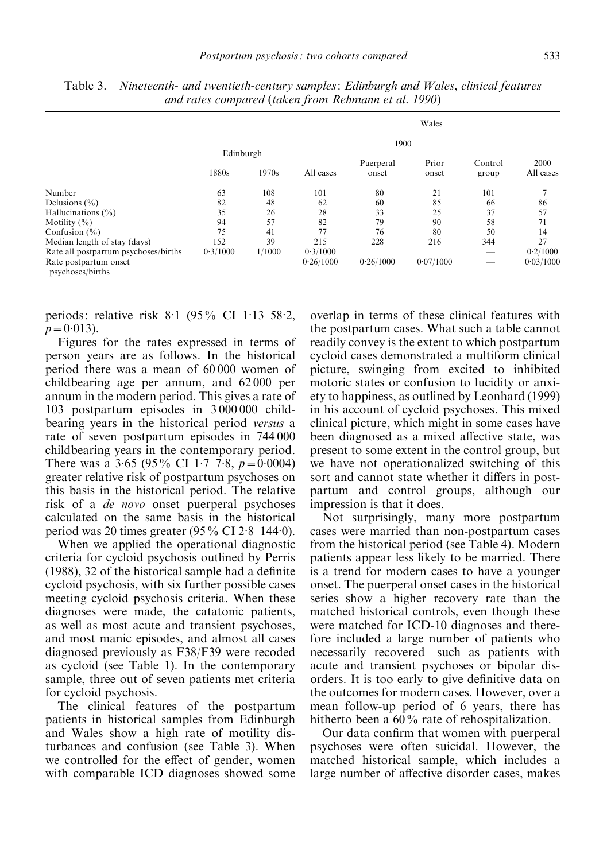|                                           |           |        | Wales     |                    |                |                  |                   |  |  |
|-------------------------------------------|-----------|--------|-----------|--------------------|----------------|------------------|-------------------|--|--|
|                                           | Edinburgh |        |           |                    |                |                  |                   |  |  |
|                                           | 1880s     | 1970s  | All cases | Puerperal<br>onset | Prior<br>onset | Control<br>group | 2000<br>All cases |  |  |
| Number                                    | 63        | 108    | 101       | 80                 | 21             | 101              |                   |  |  |
| Delusions $(\% )$                         | 82        | 48     | 62        | 60                 | 85             | 66               | 86                |  |  |
| Hallucinations $(\% )$                    | 35        | 26     | 28        | 33                 | 25             | 37               | 57                |  |  |
| Motility $(\% )$                          | 94        | 57     | 82        | 79                 | 90             | 58               | 71                |  |  |
| Confusion $(\% )$                         | 75        | 41     | 77        | 76                 | 80             | 50               | 14                |  |  |
| Median length of stay (days)              | 152       | 39     | 215       | 228                | 216            | 344              | 27                |  |  |
| Rate all postpartum psychoses/births      | 0.3/1000  | 1/1000 | 0.3/1000  |                    |                |                  | 0.2/1000          |  |  |
| Rate postpartum onset<br>psychoses/births |           |        | 0.26/1000 | 0.26/1000          | 0.07/1000      |                  | 0.03/1000         |  |  |

Table 3. Nineteenth- and twentieth-century samples: Edinburgh and Wales, clinical features and rates compared (taken from Rehmann et al. 1990)

periods: relative risk 8.1 (95% CI 1.13-58.2,  $p = 0.013$ .

Figures for the rates expressed in terms of person years are as follows. In the historical period there was a mean of 60 000 women of childbearing age per annum, and 62 000 per annum in the modern period. This gives a rate of 103 postpartum episodes in 3 000 000 childbearing years in the historical period versus a rate of seven postpartum episodes in 744 000 childbearing years in the contemporary period. There was a  $3.65$  (95% CI 1.7–7.8,  $p=0.0004$ ) greater relative risk of postpartum psychoses on this basis in the historical period. The relative risk of a de novo onset puerperal psychoses calculated on the same basis in the historical period was 20 times greater (95% CI 2.8-144.0).

When we applied the operational diagnostic criteria for cycloid psychosis outlined by Perris (1988), 32 of the historical sample had a definite cycloid psychosis, with six further possible cases meeting cycloid psychosis criteria. When these diagnoses were made, the catatonic patients, as well as most acute and transient psychoses, and most manic episodes, and almost all cases diagnosed previously as F38/F39 were recoded as cycloid (see Table 1). In the contemporary sample, three out of seven patients met criteria for cycloid psychosis.

The clinical features of the postpartum patients in historical samples from Edinburgh and Wales show a high rate of motility disturbances and confusion (see Table 3). When we controlled for the effect of gender, women with comparable ICD diagnoses showed some

overlap in terms of these clinical features with the postpartum cases. What such a table cannot readily convey is the extent to which postpartum cycloid cases demonstrated a multiform clinical picture, swinging from excited to inhibited motoric states or confusion to lucidity or anxiety to happiness, as outlined by Leonhard (1999) in his account of cycloid psychoses. This mixed clinical picture, which might in some cases have been diagnosed as a mixed affective state, was present to some extent in the control group, but we have not operationalized switching of this sort and cannot state whether it differs in postpartum and control groups, although our impression is that it does.

Not surprisingly, many more postpartum cases were married than non-postpartum cases from the historical period (see Table 4). Modern patients appear less likely to be married. There is a trend for modern cases to have a younger onset. The puerperal onset cases in the historical series show a higher recovery rate than the matched historical controls, even though these were matched for ICD-10 diagnoses and therefore included a large number of patients who necessarily recovered – such as patients with acute and transient psychoses or bipolar disorders. It is too early to give definitive data on the outcomes for modern cases. However, over a mean follow-up period of 6 years, there has hitherto been a 60% rate of rehospitalization.

Our data confirm that women with puerperal psychoses were often suicidal. However, the matched historical sample, which includes a large number of affective disorder cases, makes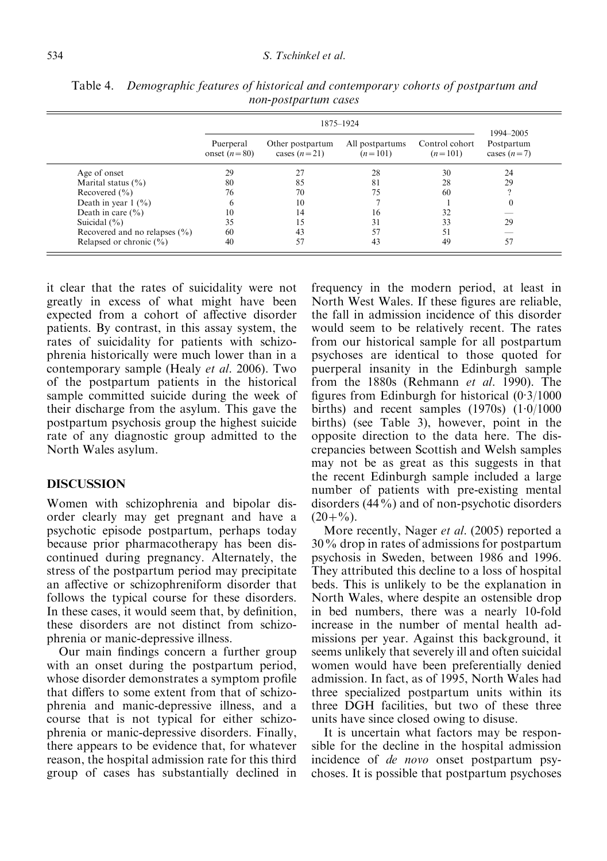|                                     | 1875-1924                   |                                    |                              |                             |                                          |  |  |
|-------------------------------------|-----------------------------|------------------------------------|------------------------------|-----------------------------|------------------------------------------|--|--|
|                                     | Puerperal<br>onset $(n=80)$ | Other postpartum<br>cases $(n=21)$ | All postpartums<br>$(n=101)$ | Control cohort<br>$(n=101)$ | 1994-2005<br>Postpartum<br>cases $(n=7)$ |  |  |
| Age of onset                        | 29                          | 27                                 | 28                           | 30                          | 24                                       |  |  |
| Marital status $(\% )$              | 80                          | 85                                 | 81                           | 28                          | 29                                       |  |  |
| Recovered $(\% )$                   | 76                          | 70                                 | 75                           | 60                          |                                          |  |  |
| Death in year $1 \frac{(\%)}{(\%)}$ | 6                           | 10                                 |                              |                             |                                          |  |  |
| Death in care $(\% )$               | 10                          | 14                                 | 16                           | 32                          |                                          |  |  |
| Suicidal $(\% )$                    | 35                          |                                    | 31                           | 33                          | 29                                       |  |  |
| Recovered and no relapses $(\% )$   | 60                          | 43                                 | 57                           | 51                          |                                          |  |  |
| Relapsed or chronic $(\% )$         | 40                          | 57                                 | 43                           | 49                          | 57                                       |  |  |

Table 4. Demographic features of historical and contemporary cohorts of postpartum and non-postpartum cases

it clear that the rates of suicidality were not greatly in excess of what might have been expected from a cohort of affective disorder patients. By contrast, in this assay system, the rates of suicidality for patients with schizophrenia historically were much lower than in a contemporary sample (Healy et al. 2006). Two of the postpartum patients in the historical sample committed suicide during the week of their discharge from the asylum. This gave the postpartum psychosis group the highest suicide rate of any diagnostic group admitted to the North Wales asylum.

## DISCUSSION

Women with schizophrenia and bipolar disorder clearly may get pregnant and have a psychotic episode postpartum, perhaps today because prior pharmacotherapy has been discontinued during pregnancy. Alternately, the stress of the postpartum period may precipitate an affective or schizophreniform disorder that follows the typical course for these disorders. In these cases, it would seem that, by definition, these disorders are not distinct from schizophrenia or manic-depressive illness.

Our main findings concern a further group with an onset during the postpartum period, whose disorder demonstrates a symptom profile that differs to some extent from that of schizophrenia and manic-depressive illness, and a course that is not typical for either schizophrenia or manic-depressive disorders. Finally, there appears to be evidence that, for whatever reason, the hospital admission rate for this third group of cases has substantially declined in

frequency in the modern period, at least in North West Wales. If these figures are reliable, the fall in admission incidence of this disorder would seem to be relatively recent. The rates from our historical sample for all postpartum psychoses are identical to those quoted for puerperal insanity in the Edinburgh sample from the 1880s (Rehmann et al. 1990). The figures from Edinburgh for historical (0. 3/1000 births) and recent samples  $(1970s)$   $(1.0/1000$ births) (see Table 3), however, point in the opposite direction to the data here. The discrepancies between Scottish and Welsh samples may not be as great as this suggests in that the recent Edinburgh sample included a large number of patients with pre-existing mental disorders (44%) and of non-psychotic disorders  $(20+%).$ 

More recently, Nager *et al.* (2005) reported a 30% drop in rates of admissions for postpartum psychosis in Sweden, between 1986 and 1996. They attributed this decline to a loss of hospital beds. This is unlikely to be the explanation in North Wales, where despite an ostensible drop in bed numbers, there was a nearly 10-fold increase in the number of mental health admissions per year. Against this background, it seems unlikely that severely ill and often suicidal women would have been preferentially denied admission. In fact, as of 1995, North Wales had three specialized postpartum units within its three DGH facilities, but two of these three units have since closed owing to disuse.

It is uncertain what factors may be responsible for the decline in the hospital admission incidence of *de novo* onset postpartum psychoses. It is possible that postpartum psychoses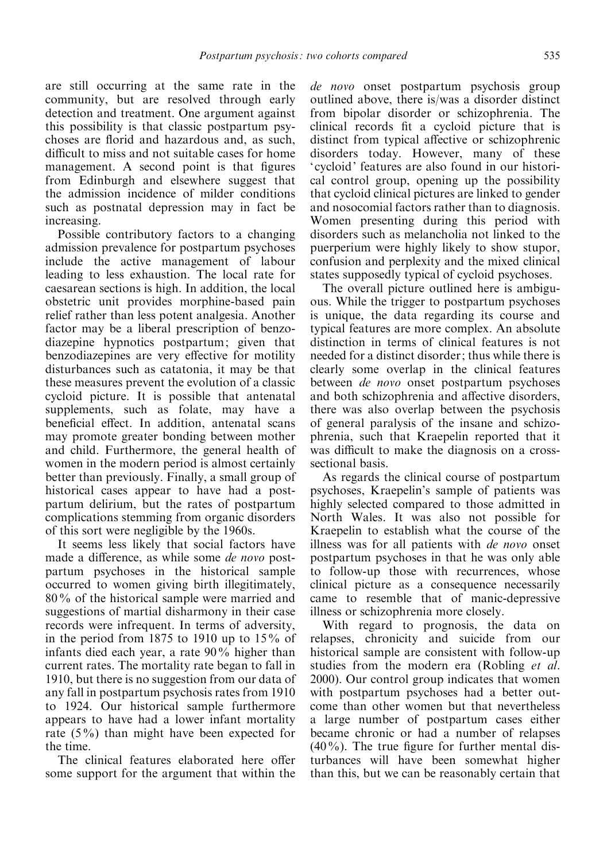are still occurring at the same rate in the community, but are resolved through early detection and treatment. One argument against this possibility is that classic postpartum psychoses are florid and hazardous and, as such, difficult to miss and not suitable cases for home management. A second point is that figures from Edinburgh and elsewhere suggest that the admission incidence of milder conditions such as postnatal depression may in fact be increasing.

Possible contributory factors to a changing admission prevalence for postpartum psychoses include the active management of labour leading to less exhaustion. The local rate for caesarean sections is high. In addition, the local obstetric unit provides morphine-based pain relief rather than less potent analgesia. Another factor may be a liberal prescription of benzodiazepine hypnotics postpartum; given that benzodiazepines are very effective for motility disturbances such as catatonia, it may be that these measures prevent the evolution of a classic cycloid picture. It is possible that antenatal supplements, such as folate, may have a beneficial effect. In addition, antenatal scans may promote greater bonding between mother and child. Furthermore, the general health of women in the modern period is almost certainly better than previously. Finally, a small group of historical cases appear to have had a postpartum delirium, but the rates of postpartum complications stemming from organic disorders of this sort were negligible by the 1960s.

It seems less likely that social factors have made a difference, as while some de novo postpartum psychoses in the historical sample occurred to women giving birth illegitimately, 80% of the historical sample were married and suggestions of martial disharmony in their case records were infrequent. In terms of adversity, in the period from 1875 to 1910 up to  $15\%$  of infants died each year, a rate 90% higher than current rates. The mortality rate began to fall in 1910, but there is no suggestion from our data of any fall in postpartum psychosis rates from 1910 to 1924. Our historical sample furthermore appears to have had a lower infant mortality rate (5%) than might have been expected for the time.

The clinical features elaborated here offer some support for the argument that within the de novo onset postpartum psychosis group outlined above, there is/was a disorder distinct from bipolar disorder or schizophrenia. The clinical records fit a cycloid picture that is distinct from typical affective or schizophrenic disorders today. However, many of these 'cycloid' features are also found in our historical control group, opening up the possibility that cycloid clinical pictures are linked to gender and nosocomial factors rather than to diagnosis. Women presenting during this period with disorders such as melancholia not linked to the puerperium were highly likely to show stupor, confusion and perplexity and the mixed clinical states supposedly typical of cycloid psychoses.

The overall picture outlined here is ambiguous. While the trigger to postpartum psychoses is unique, the data regarding its course and typical features are more complex. An absolute distinction in terms of clinical features is not needed for a distinct disorder; thus while there is clearly some overlap in the clinical features between de novo onset postpartum psychoses and both schizophrenia and affective disorders, there was also overlap between the psychosis of general paralysis of the insane and schizophrenia, such that Kraepelin reported that it was difficult to make the diagnosis on a crosssectional basis.

As regards the clinical course of postpartum psychoses, Kraepelin's sample of patients was highly selected compared to those admitted in North Wales. It was also not possible for Kraepelin to establish what the course of the illness was for all patients with de novo onset postpartum psychoses in that he was only able to follow-up those with recurrences, whose clinical picture as a consequence necessarily came to resemble that of manic-depressive illness or schizophrenia more closely.

With regard to prognosis, the data on relapses, chronicity and suicide from our historical sample are consistent with follow-up studies from the modern era (Robling et al. 2000). Our control group indicates that women with postpartum psychoses had a better outcome than other women but that nevertheless a large number of postpartum cases either became chronic or had a number of relapses  $(40\%)$ . The true figure for further mental disturbances will have been somewhat higher than this, but we can be reasonably certain that